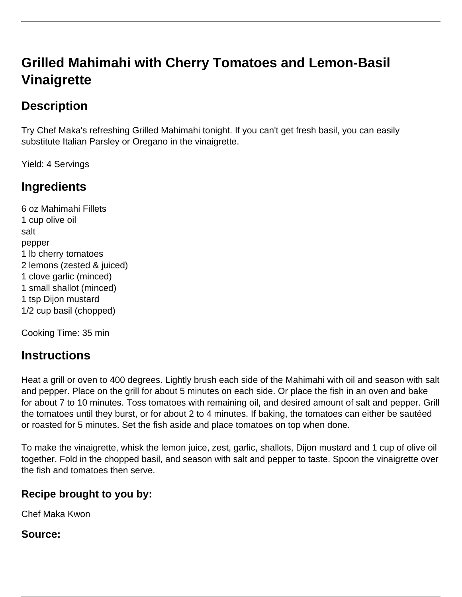# **Grilled Mahimahi with Cherry Tomatoes and Lemon-Basil Vinaigrette**

## **Description**

Try Chef Maka's refreshing Grilled Mahimahi tonight. If you can't get fresh basil, you can easily substitute Italian Parsley or Oregano in the vinaigrette.

Yield: 4 Servings

### **Ingredients**

6 oz Mahimahi Fillets 1 cup olive oil salt pepper 1 lb cherry tomatoes 2 lemons (zested & juiced) 1 clove garlic (minced) 1 small shallot (minced) 1 tsp Dijon mustard 1/2 cup basil (chopped)

Cooking Time: 35 min

#### **Instructions**

Heat a grill or oven to 400 degrees. Lightly brush each side of the Mahimahi with oil and season with salt and pepper. Place on the grill for about 5 minutes on each side. Or place the fish in an oven and bake for about 7 to 10 minutes. Toss tomatoes with remaining oil, and desired amount of salt and pepper. Grill the tomatoes until they burst, or for about 2 to 4 minutes. If baking, the tomatoes can either be sautéed or roasted for 5 minutes. Set the fish aside and place tomatoes on top when done.

To make the vinaigrette, whisk the lemon juice, zest, garlic, shallots, Dijon mustard and 1 cup of olive oil together. Fold in the chopped basil, and season with salt and pepper to taste. Spoon the vinaigrette over the fish and tomatoes then serve.

#### **Recipe brought to you by:**

Chef Maka Kwon

**Source:**